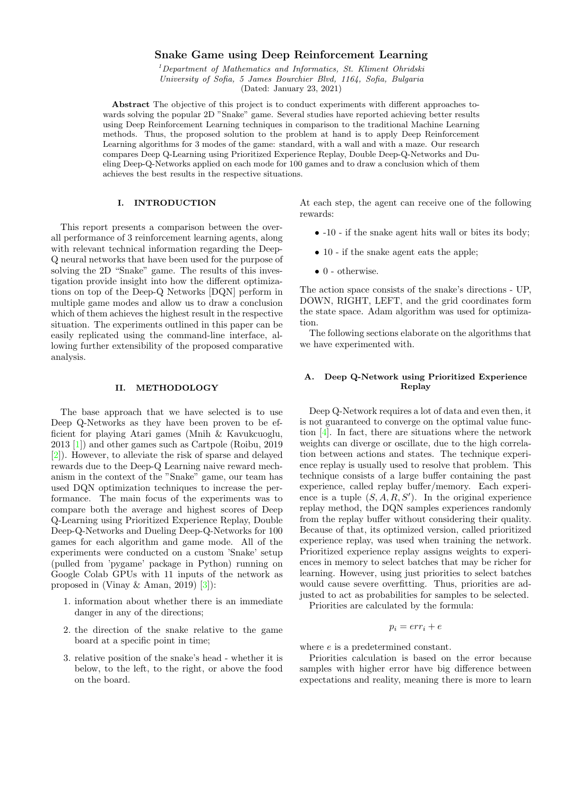# Snake Game using Deep Reinforcement Learning

 $1$ Department of Mathematics and Informatics, St. Kliment Ohridski University of Sofia, 5 James Bourchier Blvd, 1164, Sofia, Bulgaria (Dated: January 23, 2021)

Abstract The objective of this project is to conduct experiments with different approaches towards solving the popular 2D "Snake" game. Several studies have reported achieving better results using Deep Reinforcement Learning techniques in comparison to the traditional Machine Learning methods. Thus, the proposed solution to the problem at hand is to apply Deep Reinforcement Learning algorithms for 3 modes of the game: standard, with a wall and with a maze. Our research compares Deep Q-Learning using Prioritized Experience Replay, Double Deep-Q-Networks and Dueling Deep-Q-Networks applied on each mode for 100 games and to draw a conclusion which of them achieves the best results in the respective situations.

### I. INTRODUCTION

This report presents a comparison between the overall performance of 3 reinforcement learning agents, along with relevant technical information regarding the Deep-Q neural networks that have been used for the purpose of solving the 2D "Snake" game. The results of this investigation provide insight into how the different optimizations on top of the Deep-Q Networks [DQN] perform in multiple game modes and allow us to draw a conclusion which of them achieves the highest result in the respective situation. The experiments outlined in this paper can be easily replicated using the command-line interface, allowing further extensibility of the proposed comparative analysis.

# II. METHODOLOGY

The base approach that we have selected is to use Deep Q-Networks as they have been proven to be efficient for playing Atari games (Mnih & Kavukcuoglu, 2013 [\[1\]](#page-3-0)) and other games such as Cartpole (Roibu, 2019 [\[2\]](#page-3-1)). However, to alleviate the risk of sparse and delayed rewards due to the Deep-Q Learning naive reward mechanism in the context of the "Snake" game, our team has used DQN optimization techniques to increase the performance. The main focus of the experiments was to compare both the average and highest scores of Deep Q-Learning using Prioritized Experience Replay, Double Deep-Q-Networks and Dueling Deep-Q-Networks for 100 games for each algorithm and game mode. All of the experiments were conducted on a custom 'Snake' setup (pulled from 'pygame' package in Python) running on Google Colab GPUs with 11 inputs of the network as proposed in (Vinay & Aman, 2019) [\[3\]](#page-3-2)):

- 1. information about whether there is an immediate danger in any of the directions;
- 2. the direction of the snake relative to the game board at a specific point in time;
- 3. relative position of the snake's head whether it is below, to the left, to the right, or above the food on the board.

At each step, the agent can receive one of the following rewards:

- -10 if the snake agent hits wall or bites its body;
- 10 if the snake agent eats the apple;
- $\bullet$  0 otherwise.

The action space consists of the snake's directions - UP, DOWN, RIGHT, LEFT, and the grid coordinates form the state space. Adam algorithm was used for optimization.

The following sections elaborate on the algorithms that we have experimented with.

# A. Deep Q-Network using Prioritized Experience Replay

Deep Q-Network requires a lot of data and even then, it is not guaranteed to converge on the optimal value function [\[4\]](#page-3-3). In fact, there are situations where the network weights can diverge or oscillate, due to the high correlation between actions and states. The technique experience replay is usually used to resolve that problem. This technique consists of a large buffer containing the past experience, called replay buffer/memory. Each experience is a tuple  $(S, A, R, S')$ . In the original experience replay method, the DQN samples experiences randomly from the replay buffer without considering their quality. Because of that, its optimized version, called prioritized experience replay, was used when training the network. Prioritized experience replay assigns weights to experiences in memory to select batches that may be richer for learning. However, using just priorities to select batches would cause severe overfitting. Thus, priorities are adjusted to act as probabilities for samples to be selected.

Priorities are calculated by the formula:

 $p_i = err_i + e$ 

where  $e$  is a predetermined constant.

Priorities calculation is based on the error because samples with higher error have big difference between expectations and reality, meaning there is more to learn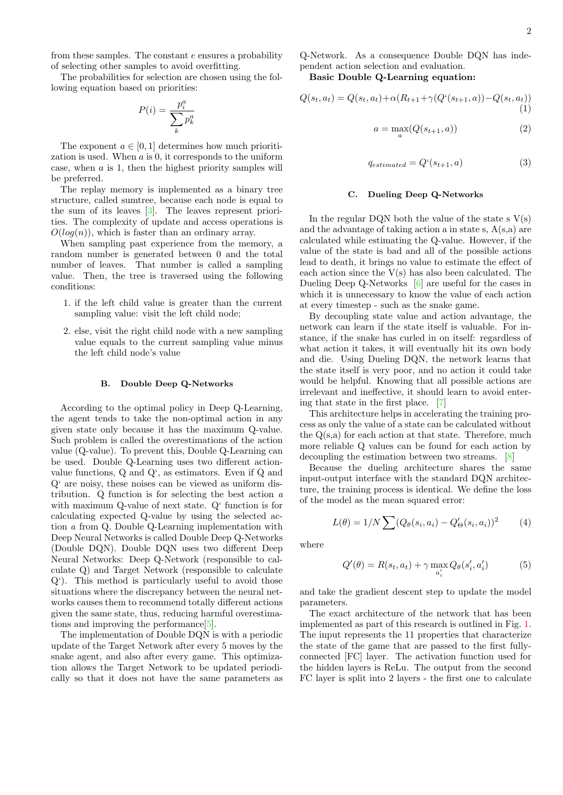from these samples. The constant e ensures a probability of selecting other samples to avoid overfitting.

The probabilities for selection are chosen using the following equation based on priorities:

$$
P(i) = \frac{p_i^a}{\sum_k p_k^a}
$$

The exponent  $a \in [0,1]$  determines how much prioritization is used. When a is 0, it corresponds to the uniform case, when  $a$  is 1, then the highest priority samples will be preferred.

The replay memory is implemented as a binary tree structure, called sumtree, because each node is equal to the sum of its leaves [\[3\]](#page-3-2). The leaves represent priorities. The complexity of update and access operations is  $O(log(n))$ , which is faster than an ordinary array.

When sampling past experience from the memory, a random number is generated between 0 and the total number of leaves. That number is called a sampling value. Then, the tree is traversed using the following conditions:

- 1. if the left child value is greater than the current sampling value: visit the left child node;
- 2. else, visit the right child node with a new sampling value equals to the current sampling value minus the left child node's value

#### B. Double Deep Q-Networks

According to the optimal policy in Deep Q-Learning, the agent tends to take the non-optimal action in any given state only because it has the maximum Q-value. Such problem is called the overestimations of the action value (Q-value). To prevent this, Double Q-Learning can be used. Double Q-Learning uses two different actionvalue functions, Q and Q', as estimators. Even if Q and Q' are noisy, these noises can be viewed as uniform distribution. Q function is for selecting the best action a with maximum Q-value of next state. Q' function is for calculating expected Q-value by using the selected action a from Q. Double Q-Learning implementation with Deep Neural Networks is called Double Deep Q-Networks (Double DQN). Double DQN uses two different Deep Neural Networks: Deep Q-Network (responsible to calculate Q) and Target Network (responsible to calculate Q'). This method is particularly useful to avoid those situations where the discrepancy between the neural networks causes them to recommend totally different actions given the same state, thus, reducing harmful overestimations and improving the performance[\[5\]](#page-3-4).

The implementation of Double DQN is with a periodic update of the Target Network after every 5 moves by the snake agent, and also after every game. This optimization allows the Target Network to be updated periodically so that it does not have the same parameters as Q-Network. As a consequence Double DQN has independent action selection and evaluation.

Basic Double Q-Learning equation:

$$
Q(s_t, a_t) = Q(s_t, a_t) + \alpha (R_{t+1} + \gamma (Q^{\prime}(s_{t+1}, a)) - Q(s_t, a_t))
$$
\n(1)

$$
a = \max_{a}(Q(s_{t+1}, a))
$$
\n<sup>(2)</sup>

$$
q_{estimated} = Q^{\prime}(s_{t+1}, a)
$$
\n(3)

#### C. Dueling Deep Q-Networks

In the regular DQN both the value of the state s  $V(s)$ and the advantage of taking action a in state s, A(s,a) are calculated while estimating the Q-value. However, if the value of the state is bad and all of the possible actions lead to death, it brings no value to estimate the effect of each action since the  $V(s)$  has also been calculated. The Dueling Deep Q-Networks [\[6\]](#page-3-5) are useful for the cases in which it is unnecessary to know the value of each action at every timestep - such as the snake game.

By decoupling state value and action advantage, the network can learn if the state itself is valuable. For instance, if the snake has curled in on itself: regardless of what action it takes, it will eventually hit its own body and die. Using Dueling DQN, the network learns that the state itself is very poor, and no action it could take would be helpful. Knowing that all possible actions are irrelevant and ineffective, it should learn to avoid entering that state in the first place. [\[7\]](#page-3-6)

This architecture helps in accelerating the training process as only the value of a state can be calculated without the  $Q(s,a)$  for each action at that state. Therefore, much more reliable Q values can be found for each action by decoupling the estimation between two streams. [\[8\]](#page-3-7)

Because the dueling architecture shares the same input-output interface with the standard DQN architecture, the training process is identical. We define the loss of the model as the mean squared error:

$$
L(\theta) = 1/N \sum (Q_{\theta}(s_i, a_i) - Q'_{\Theta}(s_i, a_i))^2
$$
 (4)

where

$$
Q'(\theta) = R(s_t, a_t) + \gamma \max_{a'_i} Q_{\theta}(s'_i, a'_i)
$$
 (5)

and take the gradient descent step to update the model parameters.

The exact architecture of the network that has been implemented as part of this research is outlined in Fig. [1.](#page-2-0) The input represents the 11 properties that characterize the state of the game that are passed to the first fullyconnected [FC] layer. The activation function used for the hidden layers is ReLu. The output from the second FC layer is split into 2 layers - the first one to calculate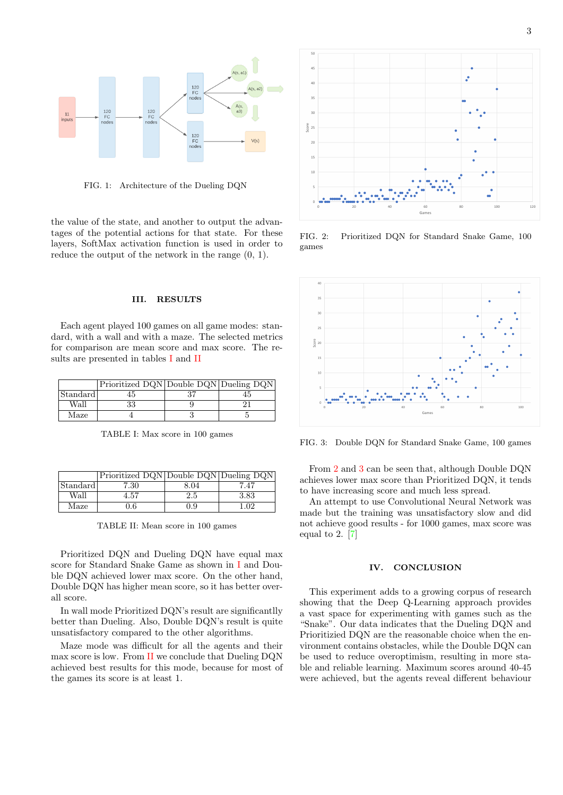

<span id="page-2-0"></span>FIG. 1: Architecture of the Dueling DQN

the value of the state, and another to output the advantages of the potential actions for that state. For these layers, SoftMax activation function is used in order to reduce the output of the network in the range (0, 1).

### III. RESULTS

Each agent played 100 games on all game modes: standard, with a wall and with a maze. The selected metrics for comparison are mean score and max score. The results are presented in tables [I](#page-2-1) and [II](#page-2-2)

|          | Prioritized DQN Double DQN Dueling DQN |  |
|----------|----------------------------------------|--|
| Standard |                                        |  |
| Wall     |                                        |  |
| Maze     |                                        |  |

<span id="page-2-1"></span>TABLE I: Max score in 100 games

|          | Prioritized DQN Double DQN Dueling DQN |      |      |
|----------|----------------------------------------|------|------|
| Standard | 7.30                                   | 8.04 | 7.47 |
| Wall     | 4.57                                   | 2.5  | 3.83 |
| Maze     | $0.6\,$                                | 0.9  | 1.02 |

<span id="page-2-2"></span>TABLE II: Mean score in 100 games

Prioritized DQN and Dueling DQN have equal max score for Standard Snake Game as shown in [I](#page-2-1) and Double DQN achieved lower max score. On the other hand, Double DQN has higher mean score, so it has better overall score.

In wall mode Prioritized DQN's result are significantlly better than Dueling. Also, Double DQN's result is quite unsatisfactory compared to the other algorithms.

Maze mode was difficult for all the agents and their max score is low. From [II](#page-2-2) we conclude that Dueling DQN achieved best results for this mode, because for most of the games its score is at least 1.



<span id="page-2-3"></span>FIG. 2: Prioritized DQN for Standard Snake Game, 100 games



<span id="page-2-4"></span>FIG. 3: Double DQN for Standard Snake Game, 100 games

From [2](#page-2-3) and [3](#page-2-4) can be seen that, although Double DQN achieves lower max score than Prioritized DQN, it tends to have increasing score and much less spread.

An attempt to use Convolutional Neural Network was made but the training was unsatisfactory slow and did not achieve good results - for 1000 games, max score was equal to 2. [\[7\]](#page-3-6)

#### IV. CONCLUSION

This experiment adds to a growing corpus of research showing that the Deep Q-Learning approach provides a vast space for experimenting with games such as the "Snake". Our data indicates that the Dueling DQN and Prioritizied DQN are the reasonable choice when the environment contains obstacles, while the Double DQN can be used to reduce overoptimism, resulting in more stable and reliable learning. Maximum scores around 40-45 were achieved, but the agents reveal different behaviour